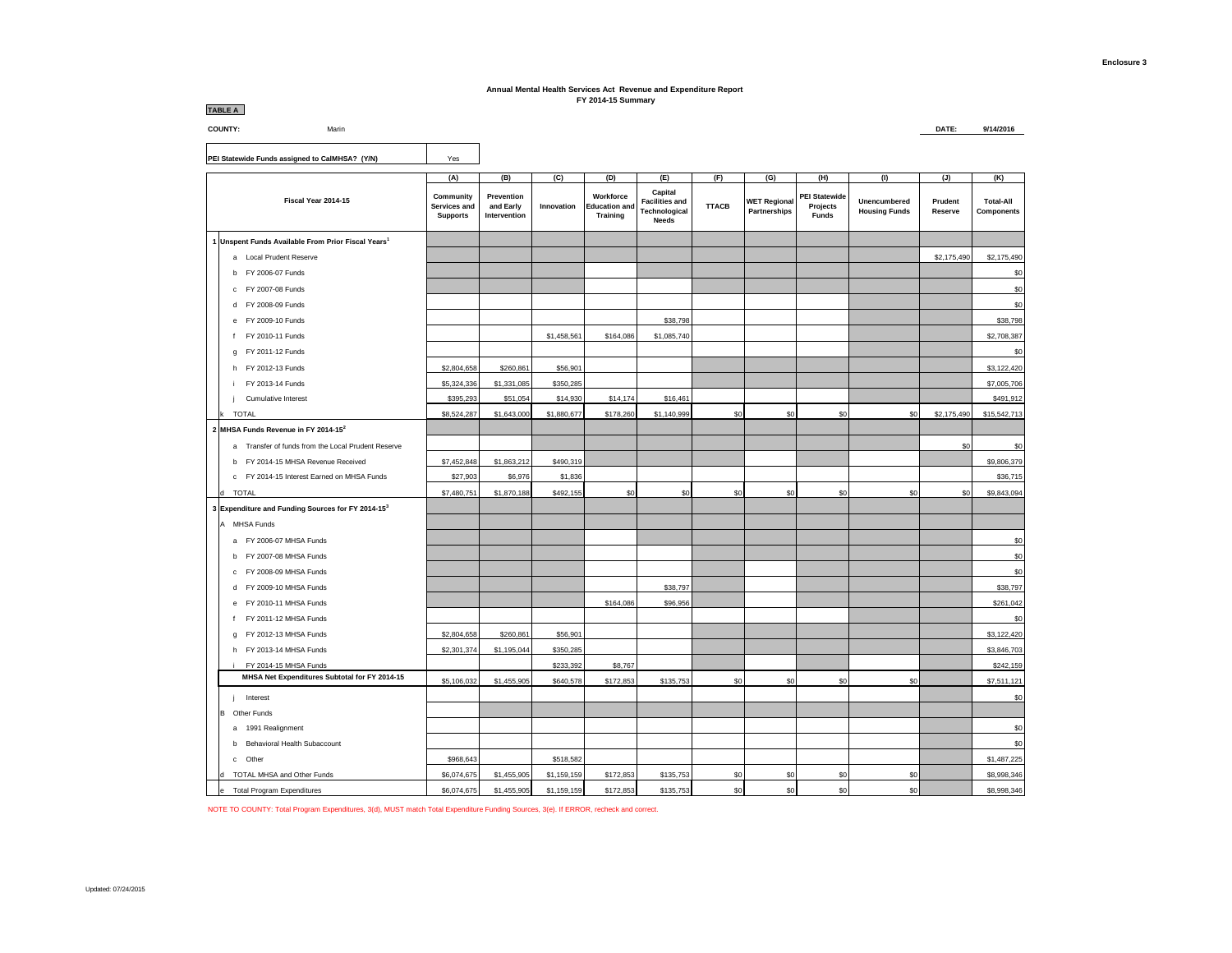## **Annual Mental Health Services Act Revenue and Expenditure Report FY 2014-15 Summary**

**TABLE A**

**COUNTY: DATE: 9/14/2016**

Yes Marin **PEI Statewide Funds assigned to CalMHSA? (Y/N)**

|                                                                | (A)                                          | (B)                                     | (C)         | (D)                                                  | (E)                                                               | (F)          | (G)                                 | (H)                                       | (1)                                  | (J)                | (K)                            |
|----------------------------------------------------------------|----------------------------------------------|-----------------------------------------|-------------|------------------------------------------------------|-------------------------------------------------------------------|--------------|-------------------------------------|-------------------------------------------|--------------------------------------|--------------------|--------------------------------|
| Fiscal Year 2014-15                                            | Community<br>Services and<br><b>Supports</b> | Prevention<br>and Early<br>Intervention | Innovation  | Workforce<br><b>Education and</b><br><b>Training</b> | Capital<br><b>Facilities and</b><br>Technological<br><b>Needs</b> | <b>TTACB</b> | <b>WET Regional</b><br>Partnerships | <b>PEI Statewide</b><br>Projects<br>Funds | Unencumbered<br><b>Housing Funds</b> | Prudent<br>Reserve | <b>Total-All</b><br>Components |
| 1 Unspent Funds Available From Prior Fiscal Years <sup>1</sup> |                                              |                                         |             |                                                      |                                                                   |              |                                     |                                           |                                      |                    |                                |
| a Local Prudent Reserve                                        |                                              |                                         |             |                                                      |                                                                   |              |                                     |                                           |                                      | \$2,175,490        | \$2,175,490                    |
| b FY 2006-07 Funds                                             |                                              |                                         |             |                                                      |                                                                   |              |                                     |                                           |                                      |                    | \$0                            |
| FY 2007-08 Funds<br>c.                                         |                                              |                                         |             |                                                      |                                                                   |              |                                     |                                           |                                      |                    | \$0                            |
| d FY 2008-09 Funds                                             |                                              |                                         |             |                                                      |                                                                   |              |                                     |                                           |                                      |                    | \$0                            |
| FY 2009-10 Funds<br>e                                          |                                              |                                         |             |                                                      | \$38,798                                                          |              |                                     |                                           |                                      |                    | \$38,798                       |
| FY 2010-11 Funds                                               |                                              |                                         | \$1,458,561 | \$164,086                                            | \$1,085,740                                                       |              |                                     |                                           |                                      |                    | \$2,708,387                    |
| FY 2011-12 Funds<br>a                                          |                                              |                                         |             |                                                      |                                                                   |              |                                     |                                           |                                      |                    | \$0                            |
| h FY 2012-13 Funds                                             | \$2,804,658                                  | \$260,861                               | \$56,901    |                                                      |                                                                   |              |                                     |                                           |                                      |                    | \$3,122,420                    |
| FY 2013-14 Funds                                               | \$5,324,336                                  | \$1,331,085                             | \$350,285   |                                                      |                                                                   |              |                                     |                                           |                                      |                    | \$7,005,706                    |
| Cumulative Interest                                            | \$395,293                                    | \$51,054                                | \$14,930    | \$14,174                                             | \$16,461                                                          |              |                                     |                                           |                                      |                    | \$491,912                      |
| <b>TOTAL</b>                                                   | \$8,524,287                                  | \$1,643,000                             | \$1,880,677 | \$178,260                                            | \$1,140,999                                                       | \$0          | \$0                                 | \$0                                       | \$0                                  | \$2,175,490        | \$15,542,713                   |
| 2 MHSA Funds Revenue in FY 2014-152                            |                                              |                                         |             |                                                      |                                                                   |              |                                     |                                           |                                      |                    |                                |
| a Transfer of funds from the Local Prudent Reserve             |                                              |                                         |             |                                                      |                                                                   |              |                                     |                                           |                                      | \$0                | \$0                            |
| b FY 2014-15 MHSA Revenue Received                             | \$7,452,848                                  | \$1,863,212                             | \$490,319   |                                                      |                                                                   |              |                                     |                                           |                                      |                    | \$9,806,379                    |
| c FY 2014-15 Interest Earned on MHSA Funds                     | \$27,903                                     | \$6,976                                 | \$1,836     |                                                      |                                                                   |              |                                     |                                           |                                      |                    | \$36,715                       |
| <b>TOTAL</b><br>H                                              | \$7,480,751                                  | \$1,870,188                             | \$492,155   | \$0                                                  | \$0                                                               | \$0          | \$0                                 | \$0                                       | \$0                                  | \$0                | \$9,843,094                    |
| 3 Expenditure and Funding Sources for FY 2014-153              |                                              |                                         |             |                                                      |                                                                   |              |                                     |                                           |                                      |                    |                                |
| A MHSA Funds                                                   |                                              |                                         |             |                                                      |                                                                   |              |                                     |                                           |                                      |                    |                                |
| a FY 2006-07 MHSA Funds                                        |                                              |                                         |             |                                                      |                                                                   |              |                                     |                                           |                                      |                    | \$0                            |
| b FY 2007-08 MHSA Funds                                        |                                              |                                         |             |                                                      |                                                                   |              |                                     |                                           |                                      |                    | \$0                            |
| FY 2008-09 MHSA Funds<br>c                                     |                                              |                                         |             |                                                      |                                                                   |              |                                     |                                           |                                      |                    | \$0                            |
| FY 2009-10 MHSA Funds<br>d                                     |                                              |                                         |             |                                                      | \$38,797                                                          |              |                                     |                                           |                                      |                    | \$38,797                       |
| FY 2010-11 MHSA Funds<br>е                                     |                                              |                                         |             | \$164,086                                            | \$96,956                                                          |              |                                     |                                           |                                      |                    | \$261,042                      |
| FY 2011-12 MHSA Funds                                          |                                              |                                         |             |                                                      |                                                                   |              |                                     |                                           |                                      |                    | \$0                            |
| FY 2012-13 MHSA Funds<br>q                                     | \$2,804,658                                  | \$260,861                               | \$56,901    |                                                      |                                                                   |              |                                     |                                           |                                      |                    | \$3,122,420                    |
| h FY 2013-14 MHSA Funds                                        | \$2,301,374                                  | \$1,195,044                             | \$350,285   |                                                      |                                                                   |              |                                     |                                           |                                      |                    | \$3,846,703                    |
| FY 2014-15 MHSA Funds                                          |                                              |                                         | \$233,392   | \$8,767                                              |                                                                   |              |                                     |                                           |                                      |                    | \$242,159                      |
| MHSA Net Expenditures Subtotal for FY 2014-15                  | \$5,106,032                                  | \$1,455,905                             | \$640,578   | \$172,853                                            | \$135,753                                                         | \$0          | \$0                                 | \$0                                       | \$0                                  |                    | \$7,511,121                    |
| Interest<br>j.                                                 |                                              |                                         |             |                                                      |                                                                   |              |                                     |                                           |                                      |                    | \$0                            |
| <b>B</b> Other Funds                                           |                                              |                                         |             |                                                      |                                                                   |              |                                     |                                           |                                      |                    |                                |
| a 1991 Realignment                                             |                                              |                                         |             |                                                      |                                                                   |              |                                     |                                           |                                      |                    | \$0                            |
| b Behavioral Health Subaccount                                 |                                              |                                         |             |                                                      |                                                                   |              |                                     |                                           |                                      |                    | \$0                            |
| c Other                                                        | \$968,643                                    |                                         | \$518,582   |                                                      |                                                                   |              |                                     |                                           |                                      |                    | \$1,487,225                    |
| TOTAL MHSA and Other Funds<br>d                                | \$6,074,675                                  | \$1,455,905                             | \$1,159,159 | \$172,853                                            | \$135,753                                                         | \$0          | \$0                                 | \$0                                       | \$0                                  |                    | \$8,998,346                    |
| <b>Total Program Expenditures</b><br>e                         | \$6,074,675                                  | \$1,455,905                             | \$1,159,159 | \$172,853                                            | \$135,753                                                         | \$0          | \$0                                 | \$0                                       | \$0                                  |                    | \$8,998,346                    |

NOTE TO COUNTY: Total Program Expenditures, 3(d), MUST match Total Expenditure Funding Sources, 3(e). If ERROR, recheck and correct.